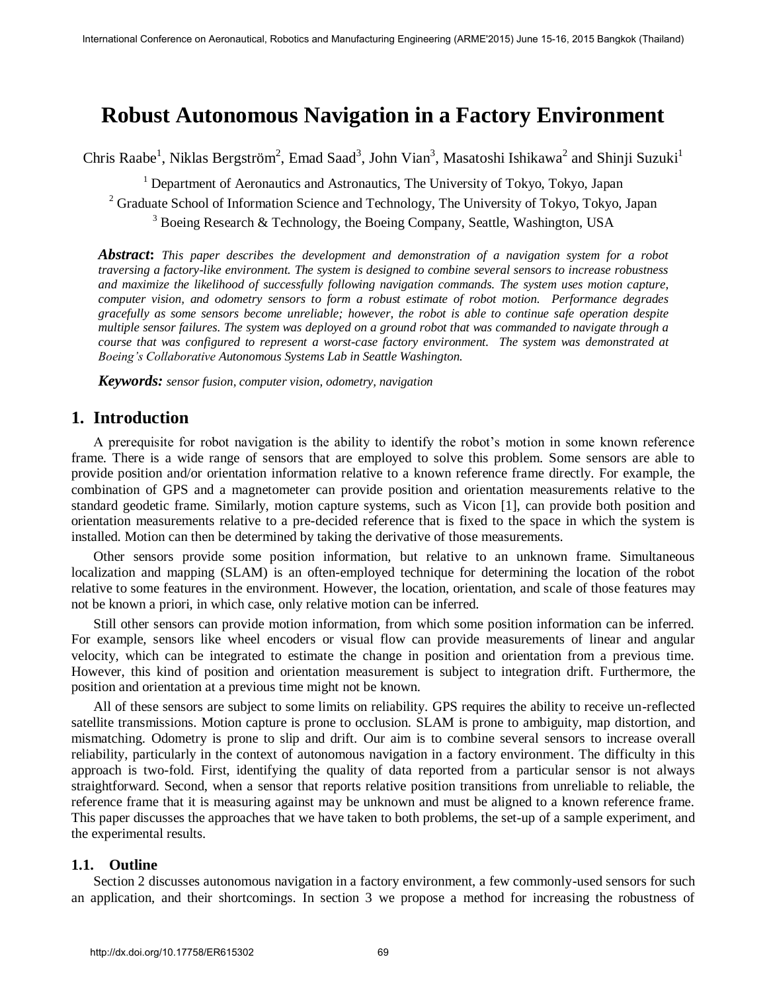# **Robust Autonomous Navigation in a Factory Environment**

Chris Raabe<sup>1</sup>, Niklas Bergström<sup>2</sup>, Emad Saad<sup>3</sup>, John Vian<sup>3</sup>, Masatoshi Ishikawa<sup>2</sup> and Shinji Suzuki<sup>1</sup>

<sup>1</sup> Department of Aeronautics and Astronautics, The University of Tokyo, Tokyo, Japan

<sup>2</sup> Graduate School of Information Science and Technology, The University of Tokyo, Tokyo, Japan

<sup>3</sup> Boeing Research & Technology, the Boeing Company, Seattle, Washington, USA

*Abstract***:** *This paper describes the development and demonstration of a navigation system for a robot traversing a factory-like environment. The system is designed to combine several sensors to increase robustness and maximize the likelihood of successfully following navigation commands. The system uses motion capture, computer vision, and odometry sensors to form a robust estimate of robot motion. Performance degrades gracefully as some sensors become unreliable; however, the robot is able to continue safe operation despite multiple sensor failures. The system was deployed on a ground robot that was commanded to navigate through a course that was configured to represent a worst-case factory environment. The system was demonstrated at Boeing's Collaborative Autonomous Systems Lab in Seattle Washington.* 

*Keywords: sensor fusion, computer vision, odometry, navigation*

# **1. Introduction**

A prerequisite for robot navigation is the ability to identify the robot's motion in some known reference frame. There is a wide range of sensors that are employed to solve this problem. Some sensors are able to provide position and/or orientation information relative to a known reference frame directly. For example, the combination of GPS and a magnetometer can provide position and orientation measurements relative to the standard geodetic frame. Similarly, motion capture systems, such as Vicon [1], can provide both position and orientation measurements relative to a pre-decided reference that is fixed to the space in which the system is installed. Motion can then be determined by taking the derivative of those measurements.

Other sensors provide some position information, but relative to an unknown frame. Simultaneous localization and mapping (SLAM) is an often-employed technique for determining the location of the robot relative to some features in the environment. However, the location, orientation, and scale of those features may not be known a priori, in which case, only relative motion can be inferred.

Still other sensors can provide motion information, from which some position information can be inferred. For example, sensors like wheel encoders or visual flow can provide measurements of linear and angular velocity, which can be integrated to estimate the change in position and orientation from a previous time. However, this kind of position and orientation measurement is subject to integration drift. Furthermore, the position and orientation at a previous time might not be known.

All of these sensors are subject to some limits on reliability. GPS requires the ability to receive un-reflected satellite transmissions. Motion capture is prone to occlusion. SLAM is prone to ambiguity, map distortion, and mismatching. Odometry is prone to slip and drift. Our aim is to combine several sensors to increase overall reliability, particularly in the context of autonomous navigation in a factory environment. The difficulty in this approach is two-fold. First, identifying the quality of data reported from a particular sensor is not always straightforward. Second, when a sensor that reports relative position transitions from unreliable to reliable, the reference frame that it is measuring against may be unknown and must be aligned to a known reference frame. This paper discusses the approaches that we have taken to both problems, the set-up of a sample experiment, and the experimental results.

### **1.1. Outline**

Section 2 discusses autonomous navigation in a factory environment, a few commonly-used sensors for such an application, and their shortcomings. In section 3 we propose a method for increasing the robustness of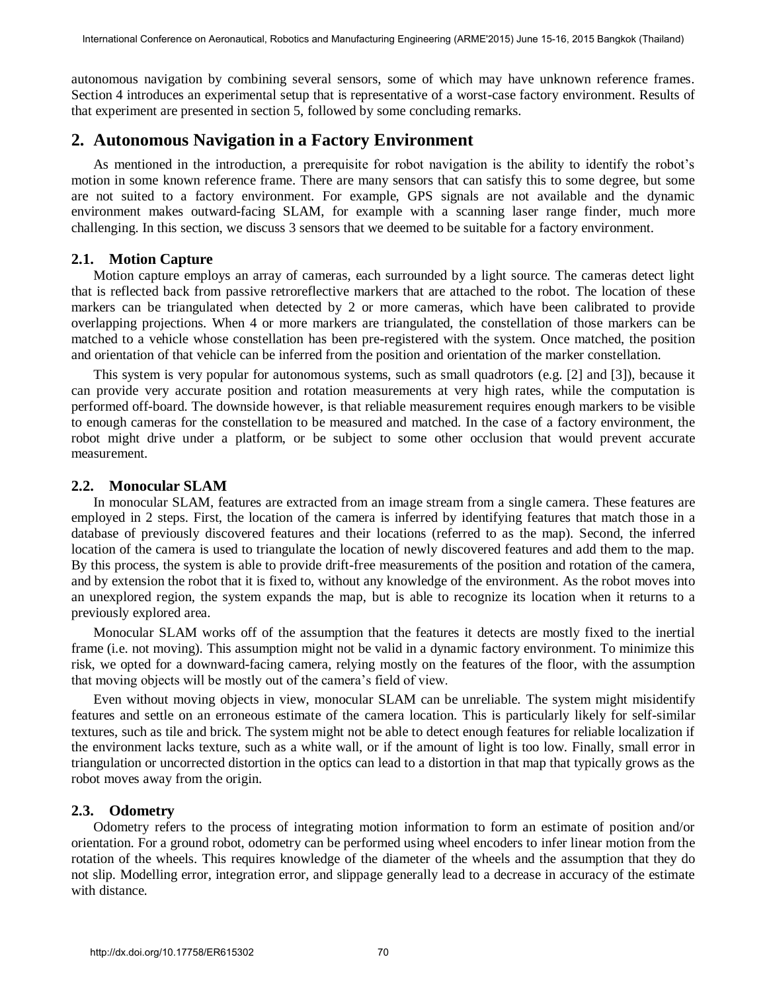autonomous navigation by combining several sensors, some of which may have unknown reference frames. Section 4 introduces an experimental setup that is representative of a worst-case factory environment. Results of that experiment are presented in section 5, followed by some concluding remarks.

### **2. Autonomous Navigation in a Factory Environment**

As mentioned in the introduction, a prerequisite for robot navigation is the ability to identify the robot's motion in some known reference frame. There are many sensors that can satisfy this to some degree, but some are not suited to a factory environment. For example, GPS signals are not available and the dynamic environment makes outward-facing SLAM, for example with a scanning laser range finder, much more challenging. In this section, we discuss 3 sensors that we deemed to be suitable for a factory environment.

### **2.1. Motion Capture**

Motion capture employs an array of cameras, each surrounded by a light source. The cameras detect light that is reflected back from passive retroreflective markers that are attached to the robot. The location of these markers can be triangulated when detected by 2 or more cameras, which have been calibrated to provide overlapping projections. When 4 or more markers are triangulated, the constellation of those markers can be matched to a vehicle whose constellation has been pre-registered with the system. Once matched, the position and orientation of that vehicle can be inferred from the position and orientation of the marker constellation.

This system is very popular for autonomous systems, such as small quadrotors (e.g. [2] and [3]), because it can provide very accurate position and rotation measurements at very high rates, while the computation is performed off-board. The downside however, is that reliable measurement requires enough markers to be visible to enough cameras for the constellation to be measured and matched. In the case of a factory environment, the robot might drive under a platform, or be subject to some other occlusion that would prevent accurate measurement.

#### **2.2. Monocular SLAM**

In monocular SLAM, features are extracted from an image stream from a single camera. These features are employed in 2 steps. First, the location of the camera is inferred by identifying features that match those in a database of previously discovered features and their locations (referred to as the map). Second, the inferred location of the camera is used to triangulate the location of newly discovered features and add them to the map. By this process, the system is able to provide drift-free measurements of the position and rotation of the camera, and by extension the robot that it is fixed to, without any knowledge of the environment. As the robot moves into an unexplored region, the system expands the map, but is able to recognize its location when it returns to a previously explored area.

Monocular SLAM works off of the assumption that the features it detects are mostly fixed to the inertial frame (i.e. not moving). This assumption might not be valid in a dynamic factory environment. To minimize this risk, we opted for a downward-facing camera, relying mostly on the features of the floor, with the assumption that moving objects will be mostly out of the camera's field of view.

Even without moving objects in view, monocular SLAM can be unreliable. The system might misidentify features and settle on an erroneous estimate of the camera location. This is particularly likely for self-similar textures, such as tile and brick. The system might not be able to detect enough features for reliable localization if the environment lacks texture, such as a white wall, or if the amount of light is too low. Finally, small error in triangulation or uncorrected distortion in the optics can lead to a distortion in that map that typically grows as the robot moves away from the origin.

### **2.3. Odometry**

Odometry refers to the process of integrating motion information to form an estimate of position and/or orientation. For a ground robot, odometry can be performed using wheel encoders to infer linear motion from the rotation of the wheels. This requires knowledge of the diameter of the wheels and the assumption that they do not slip. Modelling error, integration error, and slippage generally lead to a decrease in accuracy of the estimate with distance.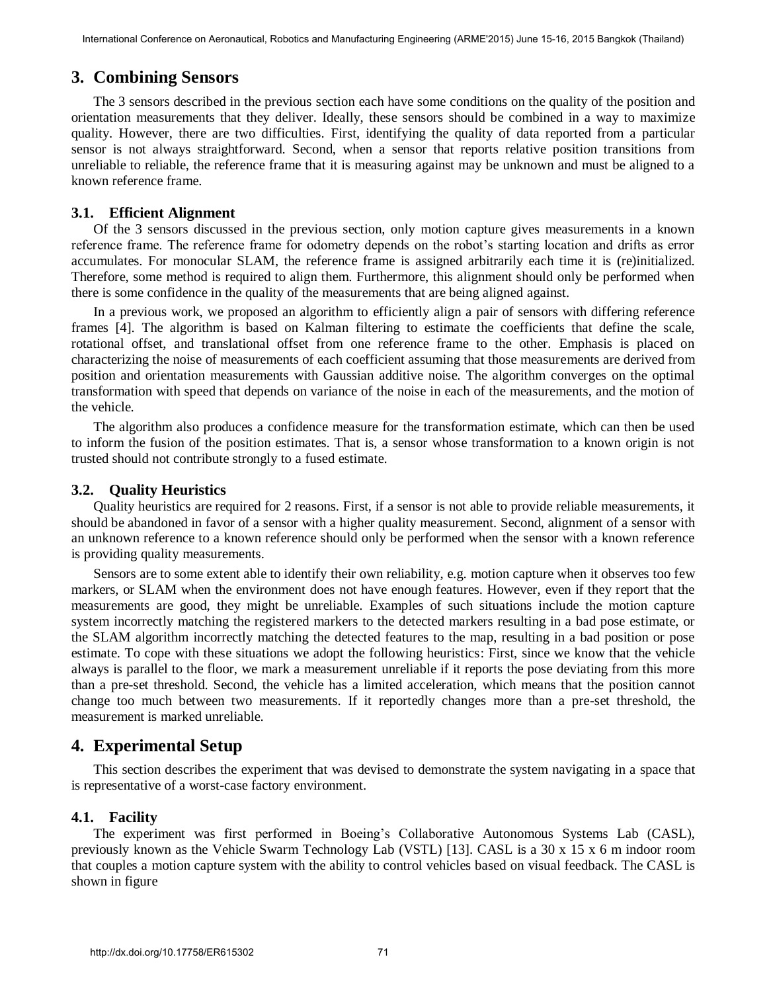# **3. Combining Sensors**

The 3 sensors described in the previous section each have some conditions on the quality of the position and orientation measurements that they deliver. Ideally, these sensors should be combined in a way to maximize quality. However, there are two difficulties. First, identifying the quality of data reported from a particular sensor is not always straightforward. Second, when a sensor that reports relative position transitions from unreliable to reliable, the reference frame that it is measuring against may be unknown and must be aligned to a known reference frame.

### **3.1. Efficient Alignment**

Of the 3 sensors discussed in the previous section, only motion capture gives measurements in a known reference frame. The reference frame for odometry depends on the robot's starting location and drifts as error accumulates. For monocular SLAM, the reference frame is assigned arbitrarily each time it is (re)initialized. Therefore, some method is required to align them. Furthermore, this alignment should only be performed when there is some confidence in the quality of the measurements that are being aligned against.

In a previous work, we proposed an algorithm to efficiently align a pair of sensors with differing reference frames [4]. The algorithm is based on Kalman filtering to estimate the coefficients that define the scale, rotational offset, and translational offset from one reference frame to the other. Emphasis is placed on characterizing the noise of measurements of each coefficient assuming that those measurements are derived from position and orientation measurements with Gaussian additive noise. The algorithm converges on the optimal transformation with speed that depends on variance of the noise in each of the measurements, and the motion of the vehicle.

The algorithm also produces a confidence measure for the transformation estimate, which can then be used to inform the fusion of the position estimates. That is, a sensor whose transformation to a known origin is not trusted should not contribute strongly to a fused estimate.

### **3.2. Quality Heuristics**

Quality heuristics are required for 2 reasons. First, if a sensor is not able to provide reliable measurements, it should be abandoned in favor of a sensor with a higher quality measurement. Second, alignment of a sensor with an unknown reference to a known reference should only be performed when the sensor with a known reference is providing quality measurements.

Sensors are to some extent able to identify their own reliability, e.g. motion capture when it observes too few markers, or SLAM when the environment does not have enough features. However, even if they report that the measurements are good, they might be unreliable. Examples of such situations include the motion capture system incorrectly matching the registered markers to the detected markers resulting in a bad pose estimate, or the SLAM algorithm incorrectly matching the detected features to the map, resulting in a bad position or pose estimate. To cope with these situations we adopt the following heuristics: First, since we know that the vehicle always is parallel to the floor, we mark a measurement unreliable if it reports the pose deviating from this more than a pre-set threshold. Second, the vehicle has a limited acceleration, which means that the position cannot change too much between two measurements. If it reportedly changes more than a pre-set threshold, the measurement is marked unreliable.

# **4. Experimental Setup**

This section describes the experiment that was devised to demonstrate the system navigating in a space that is representative of a worst-case factory environment.

### **4.1. Facility**

The experiment was first performed in Boeing's Collaborative Autonomous Systems Lab (CASL), previously known as the Vehicle Swarm Technology Lab (VSTL) [13]. CASL is a 30 x 15 x 6 m indoor room that couples a motion capture system with the ability to control vehicles based on visual feedback. The CASL is shown in figure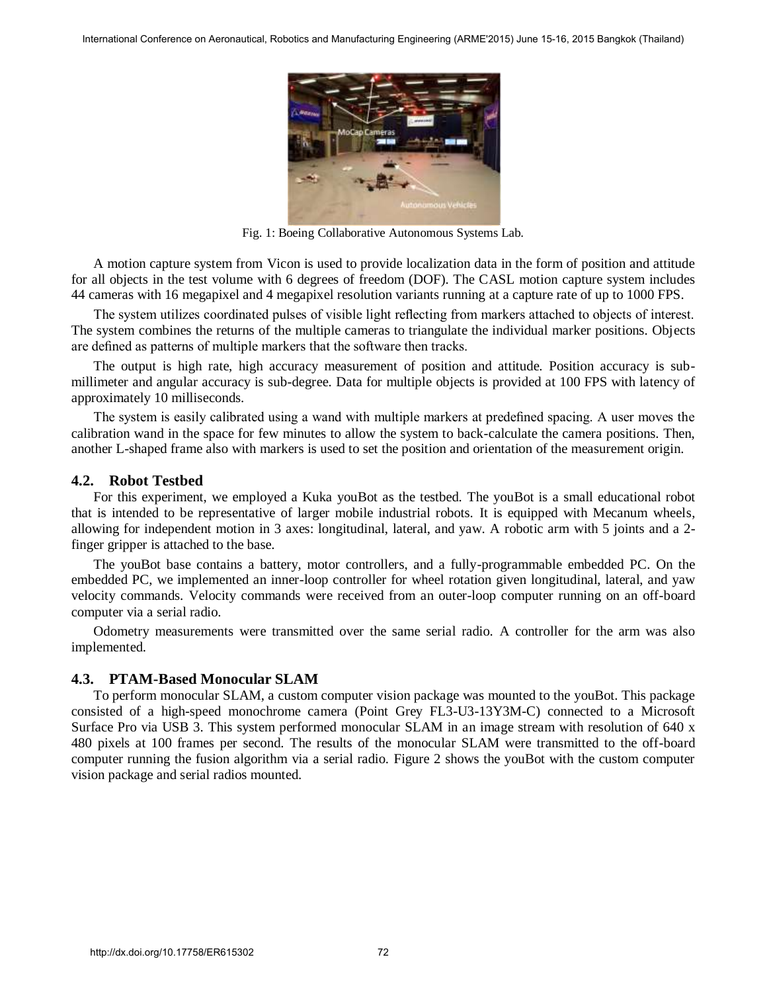

Fig. 1: Boeing Collaborative Autonomous Systems Lab.

A motion capture system from Vicon is used to provide localization data in the form of position and attitude for all objects in the test volume with 6 degrees of freedom (DOF). The CASL motion capture system includes 44 cameras with 16 megapixel and 4 megapixel resolution variants running at a capture rate of up to 1000 FPS.

The system utilizes coordinated pulses of visible light reflecting from markers attached to objects of interest. The system combines the returns of the multiple cameras to triangulate the individual marker positions. Objects are defined as patterns of multiple markers that the software then tracks.

The output is high rate, high accuracy measurement of position and attitude. Position accuracy is submillimeter and angular accuracy is sub-degree. Data for multiple objects is provided at 100 FPS with latency of approximately 10 milliseconds.

The system is easily calibrated using a wand with multiple markers at predefined spacing. A user moves the calibration wand in the space for few minutes to allow the system to back-calculate the camera positions. Then, another L-shaped frame also with markers is used to set the position and orientation of the measurement origin.

#### **4.2. Robot Testbed**

For this experiment, we employed a Kuka youBot as the testbed. The youBot is a small educational robot that is intended to be representative of larger mobile industrial robots. It is equipped with Mecanum wheels, allowing for independent motion in 3 axes: longitudinal, lateral, and yaw. A robotic arm with 5 joints and a 2 finger gripper is attached to the base.

The youBot base contains a battery, motor controllers, and a fully-programmable embedded PC. On the embedded PC, we implemented an inner-loop controller for wheel rotation given longitudinal, lateral, and yaw velocity commands. Velocity commands were received from an outer-loop computer running on an off-board computer via a serial radio.

Odometry measurements were transmitted over the same serial radio. A controller for the arm was also implemented.

### **4.3. PTAM-Based Monocular SLAM**

To perform monocular SLAM, a custom computer vision package was mounted to the youBot. This package consisted of a high-speed monochrome camera (Point Grey FL3-U3-13Y3M-C) connected to a Microsoft Surface Pro via USB 3. This system performed monocular SLAM in an image stream with resolution of 640 x 480 pixels at 100 frames per second. The results of the monocular SLAM were transmitted to the off-board computer running the fusion algorithm via a serial radio. Figure 2 shows the youBot with the custom computer vision package and serial radios mounted.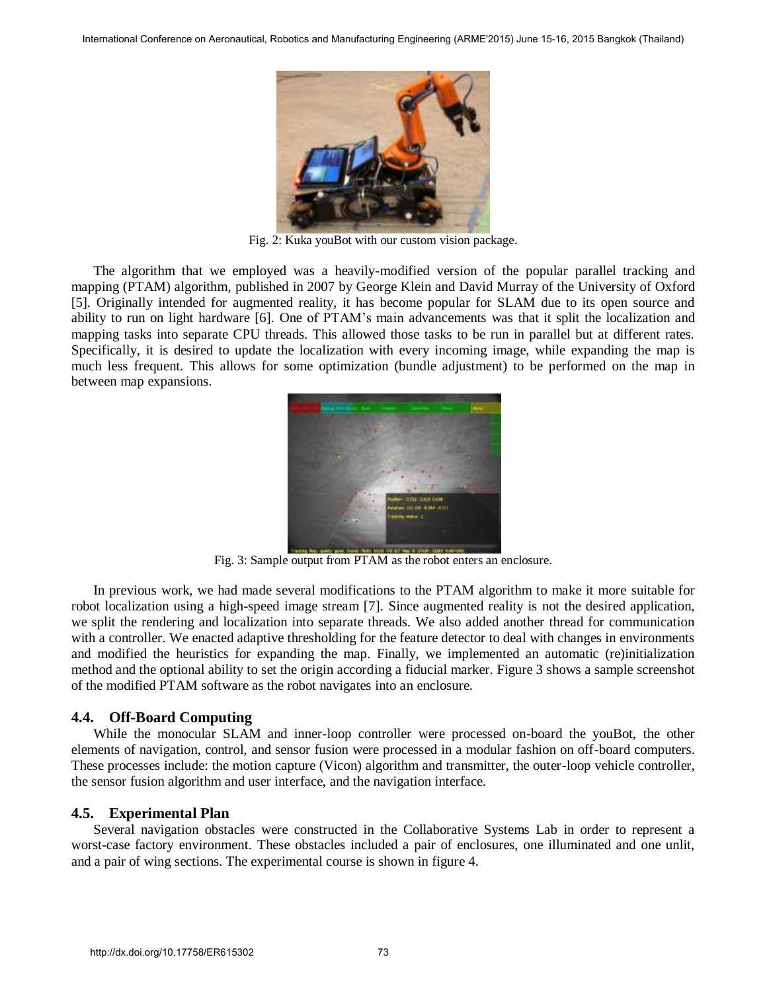

Fig. 2: Kuka youBot with our custom vision package.

The algorithm that we employed was a heavily-modified version of the popular parallel tracking and mapping (PTAM) algorithm, published in 2007 by George Klein and David Murray of the University of Oxford [5]. Originally intended for augmented reality, it has become popular for SLAM due to its open source and ability to run on light hardware [6]. One of PTAM's main advancements was that it split the localization and mapping tasks into separate CPU threads. This allowed those tasks to be run in parallel but at different rates. Specifically, it is desired to update the localization with every incoming image, while expanding the map is much less frequent. This allows for some optimization (bundle adjustment) to be performed on the map in between map expansions.



Fig. 3: Sample output from PTAM as the robot enters an enclosure.

In previous work, we had made several modifications to the PTAM algorithm to make it more suitable for robot localization using a high-speed image stream [7]. Since augmented reality is not the desired application, we split the rendering and localization into separate threads. We also added another thread for communication with a controller. We enacted adaptive thresholding for the feature detector to deal with changes in environments and modified the heuristics for expanding the map. Finally, we implemented an automatic (re)initialization method and the optional ability to set the origin according a fiducial marker. Figure 3 shows a sample screenshot of the modified PTAM software as the robot navigates into an enclosure.

#### **4.4. Off-Board Computing**

While the monocular SLAM and inner-loop controller were processed on-board the youBot, the other elements of navigation, control, and sensor fusion were processed in a modular fashion on off-board computers. These processes include: the motion capture (Vicon) algorithm and transmitter, the outer-loop vehicle controller, the sensor fusion algorithm and user interface, and the navigation interface.

#### **4.5. Experimental Plan**

Several navigation obstacles were constructed in the Collaborative Systems Lab in order to represent a worst-case factory environment. These obstacles included a pair of enclosures, one illuminated and one unlit, and a pair of wing sections. The experimental course is shown in figure 4.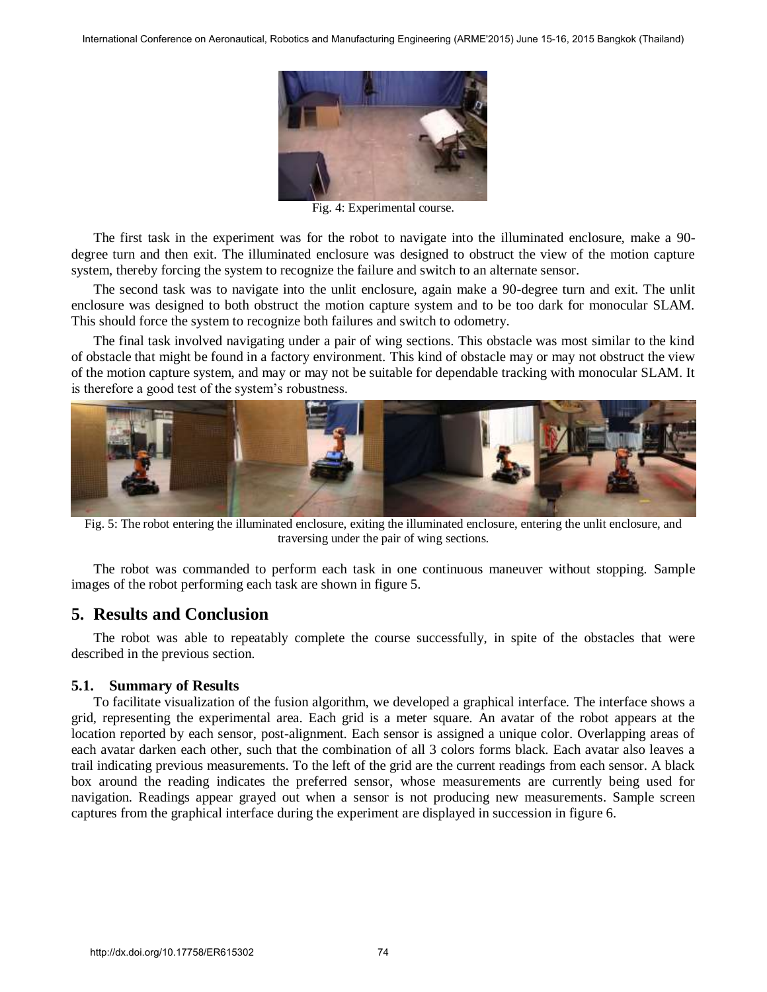

Fig. 4: Experimental course.

The first task in the experiment was for the robot to navigate into the illuminated enclosure, make a 90 degree turn and then exit. The illuminated enclosure was designed to obstruct the view of the motion capture system, thereby forcing the system to recognize the failure and switch to an alternate sensor.

The second task was to navigate into the unlit enclosure, again make a 90-degree turn and exit. The unlit enclosure was designed to both obstruct the motion capture system and to be too dark for monocular SLAM. This should force the system to recognize both failures and switch to odometry.

The final task involved navigating under a pair of wing sections. This obstacle was most similar to the kind of obstacle that might be found in a factory environment. This kind of obstacle may or may not obstruct the view of the motion capture system, and may or may not be suitable for dependable tracking with monocular SLAM. It is therefore a good test of the system's robustness.



Fig. 5: The robot entering the illuminated enclosure, exiting the illuminated enclosure, entering the unlit enclosure, and traversing under the pair of wing sections.

The robot was commanded to perform each task in one continuous maneuver without stopping. Sample images of the robot performing each task are shown in figure 5.

# **5. Results and Conclusion**

The robot was able to repeatably complete the course successfully, in spite of the obstacles that were described in the previous section.

### **5.1. Summary of Results**

To facilitate visualization of the fusion algorithm, we developed a graphical interface. The interface shows a grid, representing the experimental area. Each grid is a meter square. An avatar of the robot appears at the location reported by each sensor, post-alignment. Each sensor is assigned a unique color. Overlapping areas of each avatar darken each other, such that the combination of all 3 colors forms black. Each avatar also leaves a trail indicating previous measurements. To the left of the grid are the current readings from each sensor. A black box around the reading indicates the preferred sensor, whose measurements are currently being used for navigation. Readings appear grayed out when a sensor is not producing new measurements. Sample screen captures from the graphical interface during the experiment are displayed in succession in figure 6.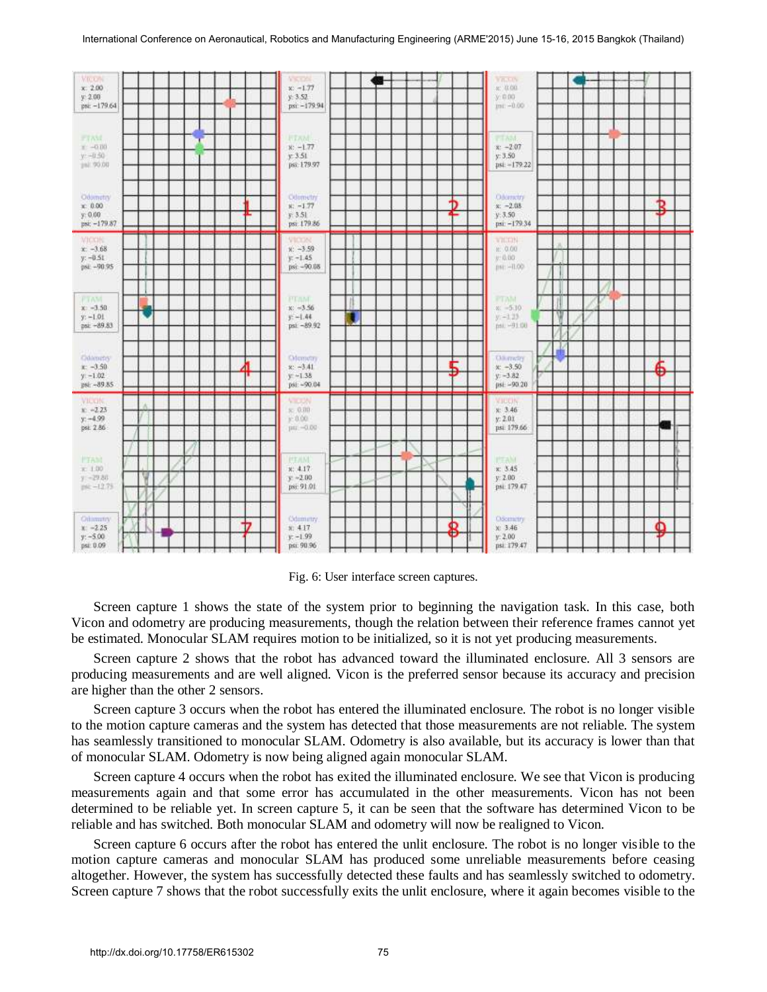

Fig. 6: User interface screen captures.

Screen capture 1 shows the state of the system prior to beginning the navigation task. In this case, both Vicon and odometry are producing measurements, though the relation between their reference frames cannot yet be estimated. Monocular SLAM requires motion to be initialized, so it is not yet producing measurements.

Screen capture 2 shows that the robot has advanced toward the illuminated enclosure. All 3 sensors are producing measurements and are well aligned. Vicon is the preferred sensor because its accuracy and precision are higher than the other 2 sensors.

Screen capture 3 occurs when the robot has entered the illuminated enclosure. The robot is no longer visible to the motion capture cameras and the system has detected that those measurements are not reliable. The system has seamlessly transitioned to monocular SLAM. Odometry is also available, but its accuracy is lower than that of monocular SLAM. Odometry is now being aligned again monocular SLAM.

Screen capture 4 occurs when the robot has exited the illuminated enclosure. We see that Vicon is producing measurements again and that some error has accumulated in the other measurements. Vicon has not been determined to be reliable yet. In screen capture 5, it can be seen that the software has determined Vicon to be reliable and has switched. Both monocular SLAM and odometry will now be realigned to Vicon.

Screen capture 6 occurs after the robot has entered the unlit enclosure. The robot is no longer visible to the motion capture cameras and monocular SLAM has produced some unreliable measurements before ceasing altogether. However, the system has successfully detected these faults and has seamlessly switched to odometry. Screen capture 7 shows that the robot successfully exits the unlit enclosure, where it again becomes visible to the